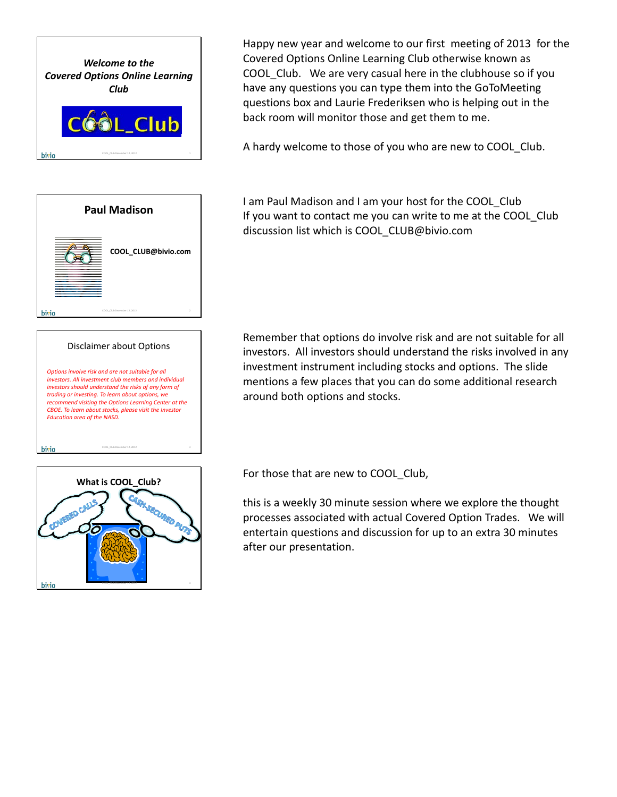



## Disclaimer about Options

*Options involve risk and are not suitable for all investors. All investment club members and individual investors should understand the risks of any form of trading or investing. To learn about options, we recommend visiting the Options Learning Center at the CBOE. To learn about stocks, please visit the Investor Education area of the NASD.*

bivio

COOL\_ClubDecember 12, 2012 3

Happy new year and welcome to our first meeting of 2013 for the Covered Options Online Learning Club otherwise known as COOL Club. We are very casual here in the clubhouse so if you have any questions you can type them into the GoToMeeting questions box and Laurie Frederiksen who is helping out in the back room will monitor those and get them to me.

A hardy welcome to those of you who are new to COOL Club.

I am Paul Madison and I am your host for the COOL\_Club If you want to contact me you can write to me at the COOL Club discussion list which is COOL\_CLUB@bivio.com

Remember that options do involve risk and are not suitable for all investors. All investors should understand the risks involved in any investment instrument including stocks and options. The slide mentions a few places that you can do some additional research around both options and stocks.



For those that are new to COOL Club,

this is a weekly 30 minute session where we explore the thought processes associated with actual Covered Option Trades. We will entertain questions and discussion for up to an extra 30 minutes after our presentation.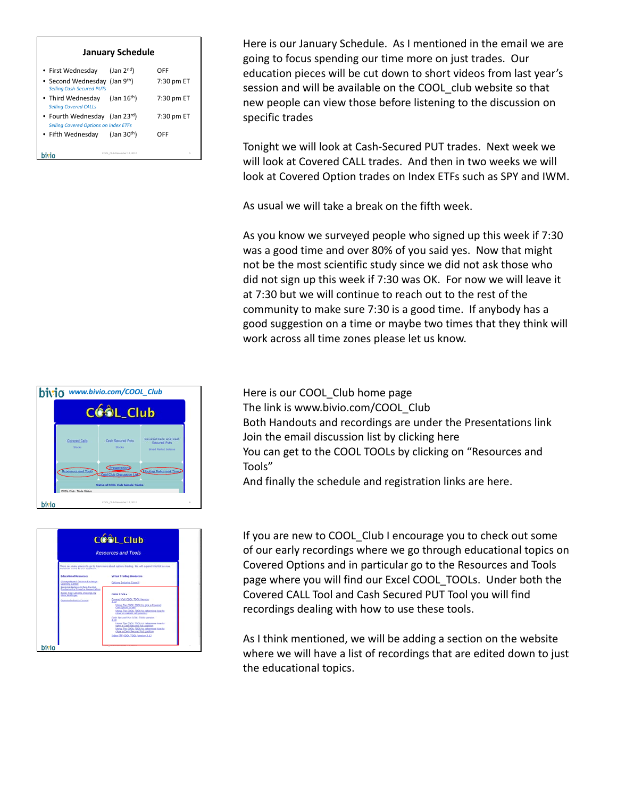|  | <b>January Schedule</b> |
|--|-------------------------|
|--|-------------------------|

| • First Wednesday                                                             | $($ Jan $2nd)$              | OFF        |
|-------------------------------------------------------------------------------|-----------------------------|------------|
|                                                                               |                             |            |
| • Second Wednesday (Jan 9th)<br><b>Selling Cash-Secured PUTs</b>              |                             | 7:30 pm ET |
| • Third Wednesday<br><b>Selling Covered CALLs</b>                             | $($ Jan 16 <sup>th</sup> )  | 7:30 pm ET |
| • Fourth Wednesday (Jan 23rd)<br><b>Selling Covered Options on Index ETFs</b> |                             | 7:30 pm ET |
| • Fifth Wednesday                                                             | $($ Jan 30 <sup>th</sup> )  | OFF        |
|                                                                               | COOL Club December 12, 2012 | í,         |

Here is our January Schedule. As I mentioned in the email we are going to focus spending our time more on just trades. Our education pieces will be cut down to short videos from last year's session and will be available on the COOL club website so that new people can view those before listening to the discussion on specific trades

Tonight we will look at Cash‐Secured PUT trades. Next week we will look at Covered CALL trades. And then in two weeks we will look at Covered Option trades on Index ETFs such as SPY and IWM.

As usual we will take a break on the fifth week.

As you know we surveyed people who signed up this week if 7:30 was a good time and over 80% of you said yes. Now that might not be the most scientific study since we did not ask those who did not sign up this week if 7:30 was OK. For now we will leave it at 7:30 but we will continue to reach out to the rest of the community to make sure 7:30 is a good time. If anybody has a good suggestion on a time or maybe two times that they think will work across all time zones please let us know.

Here is our COOL Club home page The link is www.bivio.com/COOL\_Club Both Handouts and recordings are under the Presentations link Join the email discussion list by clicking here You can get to the COOL TOOLs by clicking on "Resources and Tools"

And finally the schedule and registration links are here.

If you are new to COOL\_Club I encourage you to check out some of our early recordings where we go through educational topics on Covered Options and in particular go to the Resources and Tools page where you will find our Excel COOL\_TOOLs. Under both the Covered CALL Tool and Cash Secured PUT Tool you will find recordings dealing with how to use these tools.

As I think mentioned, we will be adding a section on the website where we will have a list of recordings that are edited down to just the educational topics.



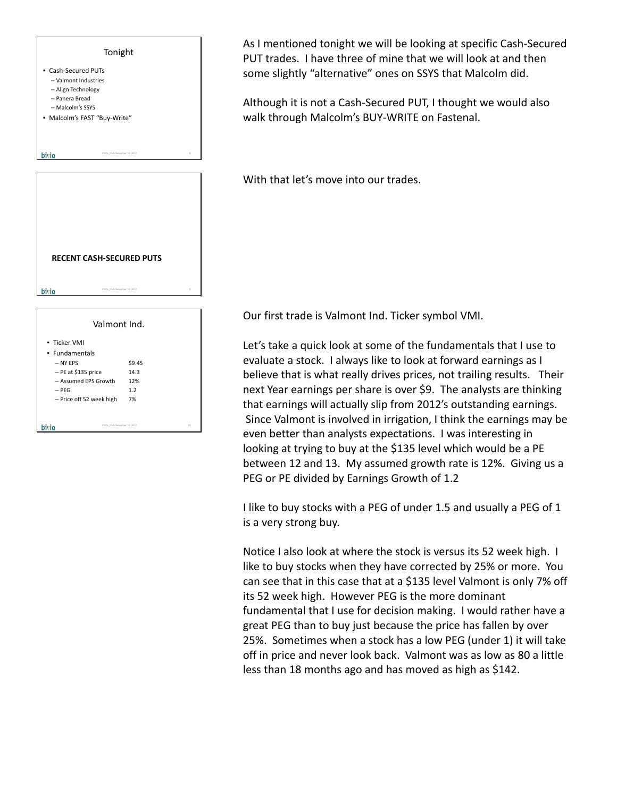

COOL\_ClubDecember 12, 2012 10

bivio

As I mentioned tonight we will be looking at specific Cash‐Secured PUT trades. I have three of mine that we will look at and then some slightly "alternative" ones on SSYS that Malcolm did.

Although it is not a Cash‐Secured PUT, I thought we would also walk through Malcolm's BUY‐WRITE on Fastenal.

With that let's move into our trades.

Our first trade is Valmont Ind. Ticker symbol VMI.

Let's take a quick look at some of the fundamentals that I use to evaluate a stock. I always like to look at forward earnings as I believe that is what really drives prices, not trailing results. Their next Year earnings per share is over \$9. The analysts are thinking that earnings will actually slip from 2012's outstanding earnings. Since Valmont is involved in irrigation, I think the earnings may be even better than analysts expectations. I was interesting in looking at trying to buy at the \$135 level which would be a PE between 12 and 13. My assumed growth rate is 12%. Giving us a PEG or PE divided by Earnings Growth of 1.2

I like to buy stocks with a PEG of under 1.5 and usually a PEG of 1 is a very strong buy.

Notice I also look at where the stock is versus its 52 week high. I like to buy stocks when they have corrected by 25% or more. You can see that in this case that at a \$135 level Valmont is only 7% off its 52 week high. However PEG is the more dominant fundamental that I use for decision making. I would rather have a great PEG than to buy just because the price has fallen by over 25%. Sometimes when a stock has a low PEG (under 1) it will take off in price and never look back. Valmont was as low as 80 a little less than 18 months ago and has moved as high as \$142.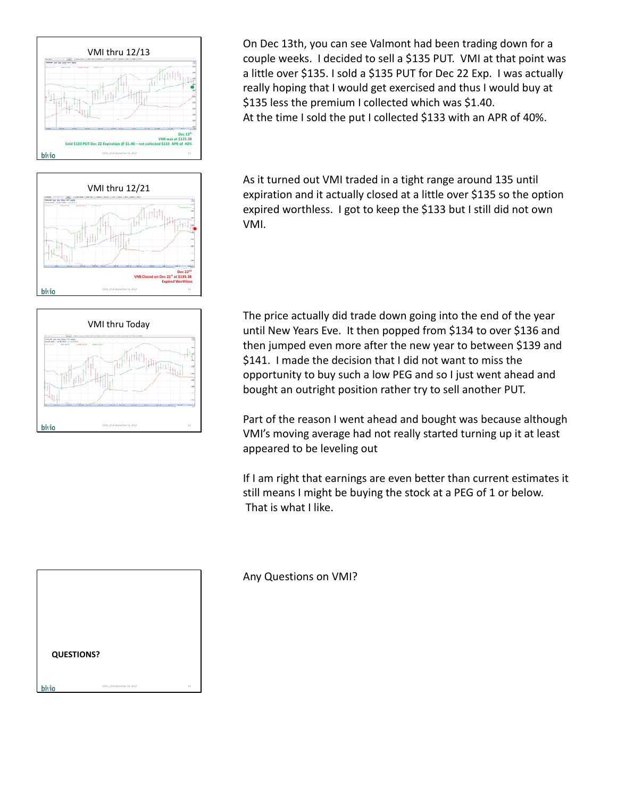

VMI thru 12/21 **Dec 22nd VMI Closed on Dec 21st at \$135.38 Expired Worthless** bivio COOL\_ClubDecember 12, 2012 12



As it turned out VMI traded in a tight range around 135 until expiration and it actually closed at a little over \$135 so the option expired worthless. I got to keep the \$133 but I still did not own VMI.



The price actually did trade down going into the end of the year until New Years Eve. It then popped from \$134 to over \$136 and then jumped even more after the new year to between \$139 and \$141. I made the decision that I did not want to miss the opportunity to buy such a low PEG and so I just went ahead and bought an outright position rather try to sell another PUT.

Part of the reason I went ahead and bought was because although VMI's moving average had not really started turning up it at least appeared to be leveling out

If I am right that earnings are even better than current estimates it still means I might be buying the stock at a PEG of 1 or below. That is what I like.



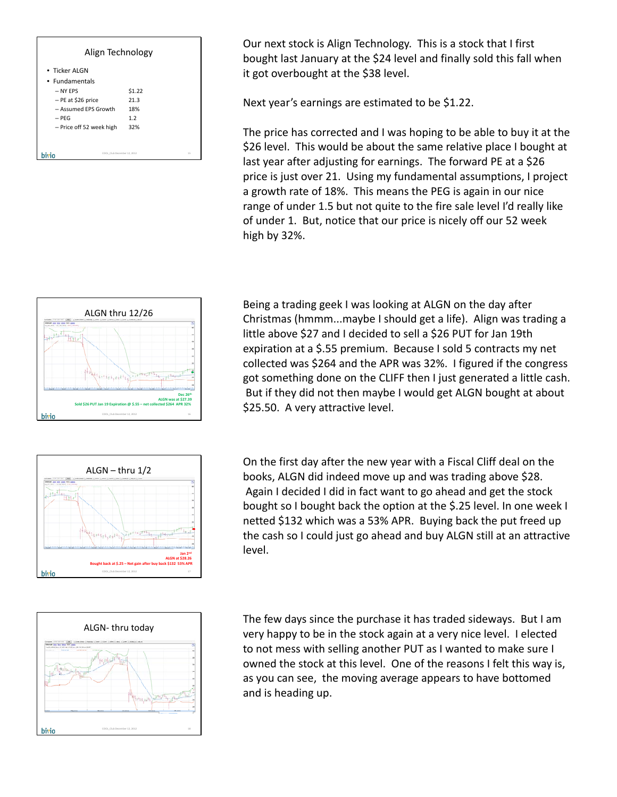| Align Technology                  |        |  |
|-----------------------------------|--------|--|
| • Ticker ALGN                     |        |  |
| • Fundamentals                    |        |  |
| - NY FPS                          | \$1.22 |  |
| - PE at \$26 price                | 21.3   |  |
| - Assumed FPS Growth              | 18%    |  |
| $-$ PFG                           | 1.2    |  |
| - Price off 52 week high          | 32%    |  |
|                                   |        |  |
|                                   |        |  |
| 15<br>COOL Club December 12, 2012 |        |  |

Our next stock is Align Technology. This is a stock that I first bought last January at the \$24 level and finally sold this fall when it got overbought at the \$38 level.

Next year's earnings are estimated to be \$1.22.

The price has corrected and I was hoping to be able to buy it at the \$26 level. This would be about the same relative place I bought at last year after adjusting for earnings. The forward PE at a \$26 price is just over 21. Using my fundamental assumptions, I project a growth rate of 18%. This means the PEG is again in our nice range of under 1.5 but not quite to the fire sale level I'd really like of under 1. But, notice that our price is nicely off our 52 week high by 32%.



ALGN – thru 1/2 <sup>4</sup>lyte **Jan 2nd ALGN at \$28.26 Bought back at \$.25 – Net gain after buy back \$132 53% APR** bivio COOL\_ClubDecember 12, 2012 17

Being a trading geek I was looking at ALGN on the day after Christmas (hmmm...maybe I should get a life). Align was trading a little above \$27 and I decided to sell a \$26 PUT for Jan 19th expiration at a \$.55 premium. Because I sold 5 contracts my net collected was \$264 and the APR was 32%. I figured if the congress got something done on the CLIFF then I just generated a little cash. But if they did not then maybe I would get ALGN bought at about \$25.50. A very attractive level.

On the first day after the new year with a Fiscal Cliff deal on the books, ALGN did indeed move up and was trading above \$28. Again I decided I did in fact want to go ahead and get the stock bought so I bought back the option at the \$.25 level. In one week I netted \$132 which was a 53% APR. Buying back the put freed up the cash so I could just go ahead and buy ALGN still at an attractive level.



The few days since the purchase it has traded sideways. But I am very happy to be in the stock again at a very nice level. I elected to not mess with selling another PUT as I wanted to make sure I owned the stock at this level. One of the reasons I felt this way is, as you can see, the moving average appears to have bottomed and is heading up.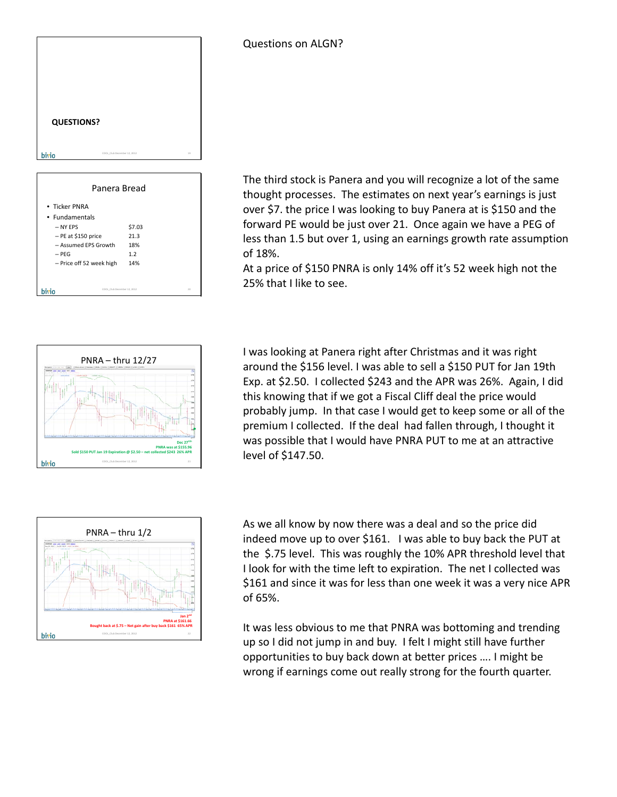| <b>QUESTIONS?</b> |                              |    |
|-------------------|------------------------------|----|
| bivio             | COOL, Club December 12, 2012 | 19 |

| Panera Bread                |        |    |
|-----------------------------|--------|----|
| • Ticker PNRA               |        |    |
| • Fundamentals              |        |    |
| - NY FPS                    | \$7.03 |    |
| $-$ PE at \$150 price       | 21.3   |    |
| - Assumed FPS Growth        | 18%    |    |
| $-$ PFG                     | 1.2    |    |
| - Price off 52 week high    | 14%    |    |
|                             |        |    |
|                             |        |    |
| COOL Club December 12, 2012 |        | 20 |

The third stock is Panera and you will recognize a lot of the same thought processes. The estimates on next year's earnings is just over \$7. the price I was looking to buy Panera at is \$150 and the forward PE would be just over 21. Once again we have a PEG of less than 1.5 but over 1, using an earnings growth rate assumption of 18%.

At a price of \$150 PNRA is only 14% off it's 52 week high not the 25% that I like to see.



I was looking at Panera right after Christmas and it was right around the \$156 level. I was able to sell a \$150 PUT for Jan 19th Exp. at \$2.50. I collected \$243 and the APR was 26%. Again, I did this knowing that if we got a Fiscal Cliff deal the price would probably jump. In that case I would get to keep some or all of the premium I collected. If the deal had fallen through, I thought it was possible that I would have PNRA PUT to me at an attractive level of \$147.50.



As we all know by now there was a deal and so the price did indeed move up to over \$161. I was able to buy back the PUT at the \$.75 level. This was roughly the 10% APR threshold level that I look for with the time left to expiration. The net I collected was \$161 and since it was for less than one week it was a very nice APR of 65%.

It was less obvious to me that PNRA was bottoming and trending up so I did not jump in and buy. I felt I might still have further opportunities to buy back down at better prices …. I might be wrong if earnings come out really strong for the fourth quarter.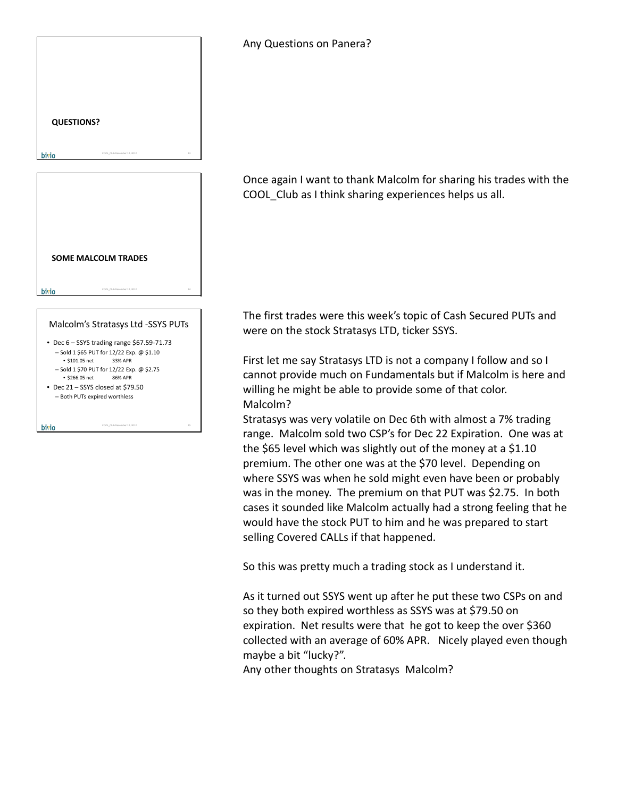| <b>QUESTIONS?</b>                                                      |  |
|------------------------------------------------------------------------|--|
|                                                                        |  |
|                                                                        |  |
| $_{23}$<br>COOL Club December 12, 2012<br>bivio                        |  |
|                                                                        |  |
|                                                                        |  |
|                                                                        |  |
|                                                                        |  |
|                                                                        |  |
|                                                                        |  |
|                                                                        |  |
| <b>SOME MALCOLM TRADES</b>                                             |  |
|                                                                        |  |
| COOL_ClubDecember 12, 2012<br>24<br>bivio                              |  |
|                                                                        |  |
|                                                                        |  |
| Malcolm's Stratasys Ltd -SSYS PUTs                                     |  |
| • Dec 6 - SSYS trading range \$67.59-71.73                             |  |
|                                                                        |  |
| - Sold 1 \$65 PUT for 12/22 Exp. @ \$1.10                              |  |
| • \$101.05 net<br>33% APR                                              |  |
| - Sold 1 \$70 PUT for 12/22 Exp. @ \$2.75<br>· \$266.05 net<br>86% APR |  |
| Dec 21 - SSYS closed at \$79.50<br>- Both PUTs expired worthless       |  |

COOL\_ClubDecember 12, 2012 25

bivio

## Any Questions on Panera?

Once again I want to thank Malcolm for sharing his trades with the COOL\_Club as I think sharing experiences helps us all.

The first trades were this week's topic of Cash Secured PUTs and were on the stock Stratasys LTD, ticker SSYS.

First let me say Stratasys LTD is not a company I follow and so I cannot provide much on Fundamentals but if Malcolm is here and willing he might be able to provide some of that color. Malcolm?

Stratasys was very volatile on Dec 6th with almost a 7% trading range. Malcolm sold two CSP's for Dec 22 Expiration. One was at the \$65 level which was slightly out of the money at a \$1.10 premium. The other one was at the \$70 level. Depending on where SSYS was when he sold might even have been or probably was in the money. The premium on that PUT was \$2.75. In both cases it sounded like Malcolm actually had a strong feeling that he would have the stock PUT to him and he was prepared to start selling Covered CALLs if that happened.

So this was pretty much a trading stock as I understand it.

As it turned out SSYS went up after he put these two CSPs on and so they both expired worthless as SSYS was at \$79.50 on expiration. Net results were that he got to keep the over \$360 collected with an average of 60% APR. Nicely played even though maybe a bit "lucky?".

Any other thoughts on Stratasys Malcolm?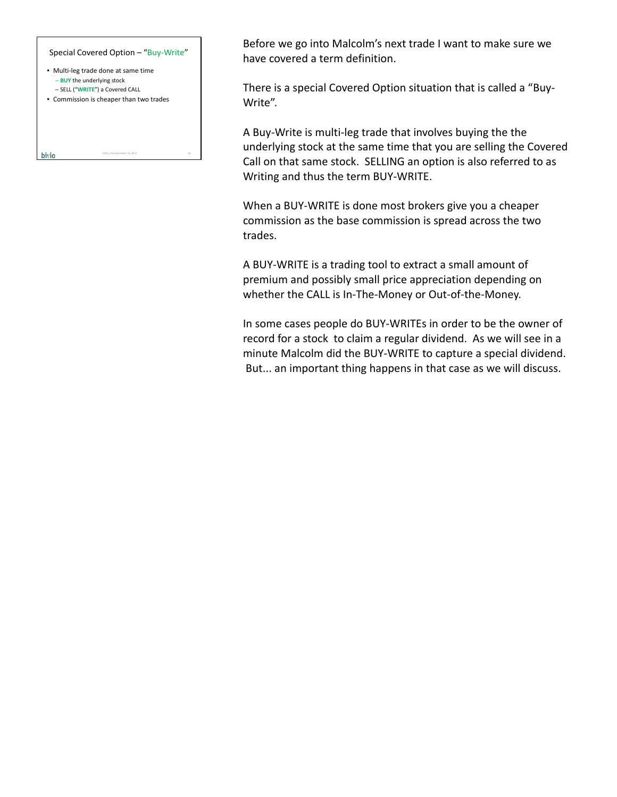

Before we go into Malcolm's next trade I want to make sure we have covered a term definition.

There is a special Covered Option situation that is called a "Buy‐ Write".

A Buy‐Write is multi‐leg trade that involves buying the the underlying stock at the same time that you are selling the Covered Call on that same stock. SELLING an option is also referred to as Writing and thus the term BUY‐WRITE.

When a BUY‐WRITE is done most brokers give you a cheaper commission as the base commission is spread across the two trades.

A BUY‐WRITE is a trading tool to extract a small amount of premium and possibly small price appreciation depending on whether the CALL is In‐The‐Money or Out‐of‐the‐Money.

In some cases people do BUY‐WRITEs in order to be the owner of record for a stock to claim a regular dividend. As we will see in a minute Malcolm did the BUY‐WRITE to capture a special dividend. But... an important thing happens in that case as we will discuss.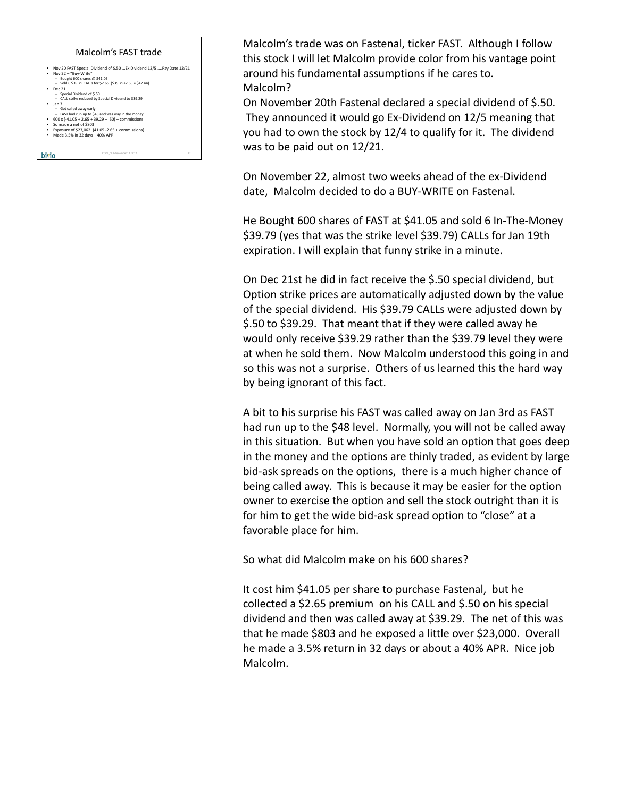

Malcolm's trade was on Fastenal, ticker FAST. Although I follow this stock I will let Malcolm provide color from his vantage point around his fundamental assumptions if he cares to. Malcolm?

On November 20th Fastenal declared a special dividend of \$.50. They announced it would go Ex‐Dividend on 12/5 meaning that you had to own the stock by 12/4 to qualify for it. The dividend was to be paid out on 12/21.

On November 22, almost two weeks ahead of the ex‐Dividend date, Malcolm decided to do a BUY‐WRITE on Fastenal.

He Bought 600 shares of FAST at \$41.05 and sold 6 In‐The‐Money \$39.79 (yes that was the strike level \$39.79) CALLs for Jan 19th expiration. I will explain that funny strike in a minute.

On Dec 21st he did in fact receive the \$.50 special dividend, but Option strike prices are automatically adjusted down by the value of the special dividend. His \$39.79 CALLs were adjusted down by \$.50 to \$39.29. That meant that if they were called away he would only receive \$39.29 rather than the \$39.79 level they were at when he sold them. Now Malcolm understood this going in and so this was not a surprise. Others of us learned this the hard way by being ignorant of this fact.

A bit to his surprise his FAST was called away on Jan 3rd as FAST had run up to the \$48 level. Normally, you will not be called away in this situation. But when you have sold an option that goes deep in the money and the options are thinly traded, as evident by large bid‐ask spreads on the options, there is a much higher chance of being called away. This is because it may be easier for the option owner to exercise the option and sell the stock outright than it is for him to get the wide bid‐ask spread option to "close" at a favorable place for him.

So what did Malcolm make on his 600 shares?

It cost him \$41.05 per share to purchase Fastenal, but he collected a \$2.65 premium on his CALL and \$.50 on his special dividend and then was called away at \$39.29. The net of this was that he made \$803 and he exposed a little over \$23,000. Overall he made a 3.5% return in 32 days or about a 40% APR. Nice job Malcolm.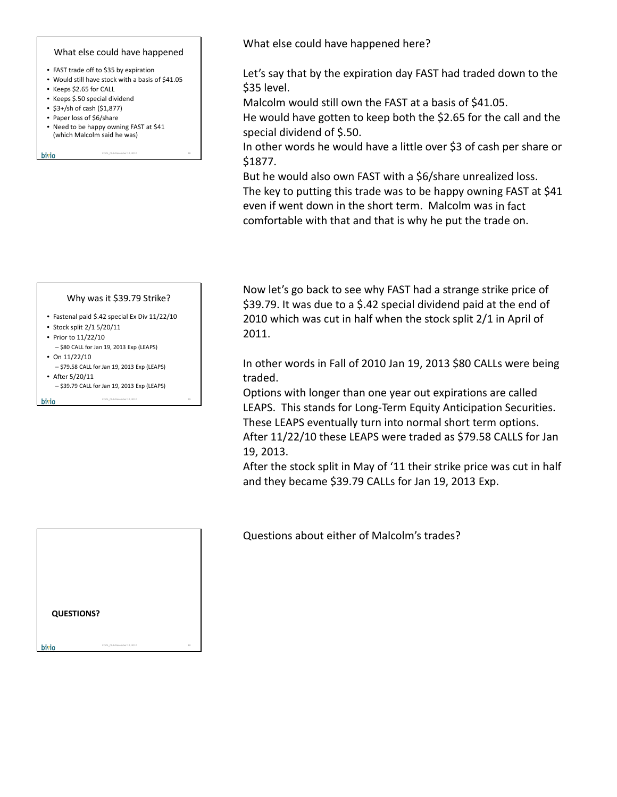## What else could have happened

- FAST trade off to \$35 by expiration
- Would still have stock with a basis of \$41.05
- Keeps \$2.65 for CALL
- Keeps \$.50 special dividend
- \$3+/sh of cash (\$1,877)
- Paper loss of \$6/share
- Need to be happy owning FAST at \$41 (which Malcolm said he was)

COOL\_ClubDecember 12, 2012 28

```
bivio
```
Why was it \$39.79 Strike?

- Fastenal paid \$.42 special Ex Div 11/22/10
- Stock split 2/1 5/20/11
- Prior to 11/22/10
- \$80 CALL for Jan 19, 2013 Exp (LEAPS) • On 11/22/10
- \$79.58 CALL for Jan 19, 2013 Exp (LEAPS)
- After 5/20/11

bivio

– \$39.79 CALL for Jan 19, 2013 Exp (LEAPS)

COOL\_ClubDecember 12, 2012 29

What else could have happened here?

Let's say that by the expiration day FAST had traded down to the \$35 level.

Malcolm would still own the FAST at a basis of \$41.05.

He would have gotten to keep both the \$2.65 for the call and the special dividend of \$.50.

In other words he would have a little over \$3 of cash per share or \$1877.

But he would also own FAST with a \$6/share unrealized loss. The key to putting this trade was to be happy owning FAST at \$41 even if went down in the short term. Malcolm was in fact comfortable with that and that is why he put the trade on.

Now let's go back to see why FAST had a strange strike price of \$39.79. It was due to a \$.42 special dividend paid at the end of 2010 which was cut in half when the stock split 2/1 in April of 2011.

In other words in Fall of 2010 Jan 19, 2013 \$80 CALLs were being traded.

Options with longer than one year out expirations are called LEAPS. This stands for Long‐Term Equity Anticipation Securities. These LEAPS eventually turn into normal short term options. After 11/22/10 these LEAPS were traded as \$79.58 CALLS for Jan 19, 2013.

After the stock split in May of '11 their strike price was cut in half and they became \$39.79 CALLs for Jan 19, 2013 Exp.

Questions about either of Malcolm's trades?

| <b>QUESTIONS?</b> |                             |    |
|-------------------|-----------------------------|----|
| bivio             | COOL_Club December 12, 2012 | 30 |